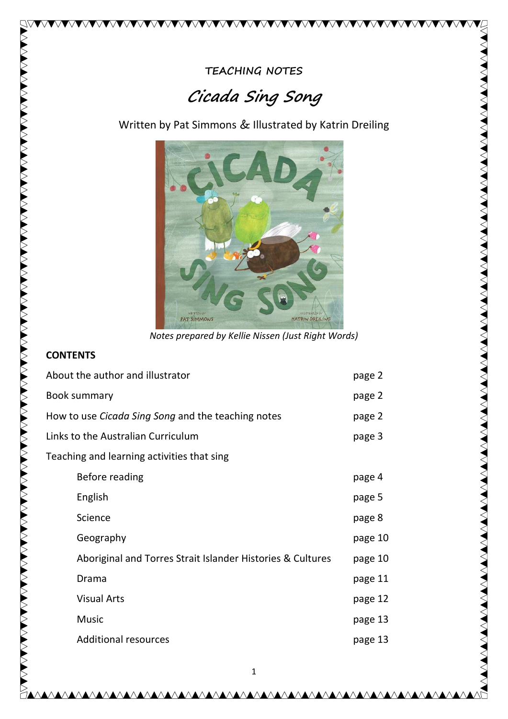# Cicada Sing Song

Written by Pat Simmons & Illustrated by Katrin Dreiling



Notes prepared by Kellie Nissen (Just Right Words)

#### **CONTENTS**

7Q

| About the author and illustrator                          |                                                            | page 2  |
|-----------------------------------------------------------|------------------------------------------------------------|---------|
| <b>Book summary</b>                                       |                                                            | page 2  |
| How to use <i>Cicada Sing Song</i> and the teaching notes |                                                            | page 2  |
| Links to the Australian Curriculum                        |                                                            | page 3  |
| Teaching and learning activities that sing                |                                                            |         |
|                                                           | Before reading                                             | page 4  |
|                                                           | English                                                    | page 5  |
|                                                           | Science                                                    | page 8  |
|                                                           | Geography                                                  | page 10 |
|                                                           | Aboriginal and Torres Strait Islander Histories & Cultures | page 10 |
|                                                           | Drama                                                      | page 11 |
|                                                           | <b>Visual Arts</b>                                         | page 12 |
|                                                           | <b>Music</b>                                               | page 13 |
|                                                           | <b>Additional resources</b>                                | page 13 |

<u>AAAAAAAAAAAAAAAAAAA</u>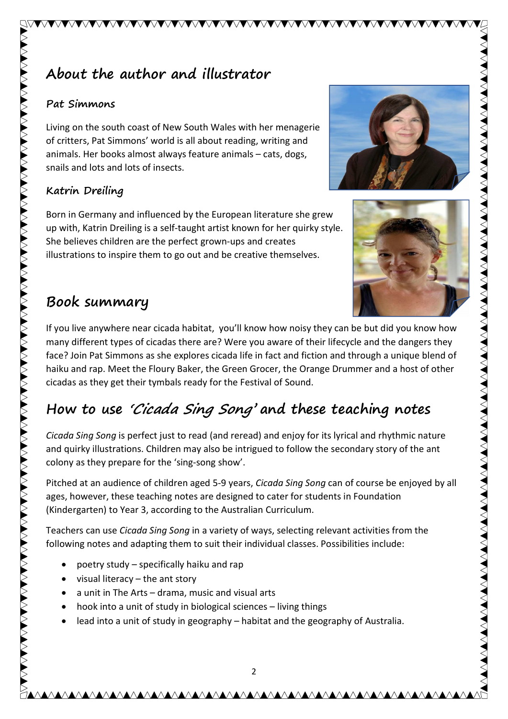#### Pat Simmons

Living on the south coast of New South Wales with her menagerie of critters, Pat Simmons' world is all about reading, writing and animals. Her books almost always feature animals – cats, dogs, snails and lots and lots of insects.

## Katrin Dreiling

Born in Germany and influenced by the European literature she grew up with, Katrin Dreiling is a self-taught artist known for her quirky style. She believes children are the perfect grown-ups and creates illustrations to inspire them to go out and be creative themselves.

## Book summary

If you live anywhere near cicada habitat, you'll know how noisy they can be but did you know how many different types of cicadas there are? Were you aware of their lifecycle and the dangers they face? Join Pat Simmons as she explores cicada life in fact and fiction and through a unique blend of haiku and rap. Meet the Floury Baker, the Green Grocer, the Orange Drummer and a host of other cicadas as they get their tymbals ready for the Festival of Sound.

VVVVVVVVVVVVVVVVVVVVVVVVVVVVV

# How to use 'Cicada Sing Song' and these teaching notes

Cicada Sing Song is perfect just to read (and reread) and enjoy for its lyrical and rhythmic nature and quirky illustrations. Children may also be intrigued to follow the secondary story of the ant colony as they prepare for the 'sing-song show'.

Pitched at an audience of children aged 5-9 years, Cicada Sing Song can of course be enjoyed by all ages, however, these teaching notes are designed to cater for students in Foundation (Kindergarten) to Year 3, according to the Australian Curriculum.

Teachers can use Cicada Sing Song in a variety of ways, selecting relevant activities from the following notes and adapting them to suit their individual classes. Possibilities include:

- ∑ poetry study specifically haiku and rap
- visual literacy the ant story
- ∑ a unit in The Arts drama, music and visual arts
- hook into a unit of study in biological sciences living things
- lead into a unit of study in geography habitat and the geography of Australia.

2



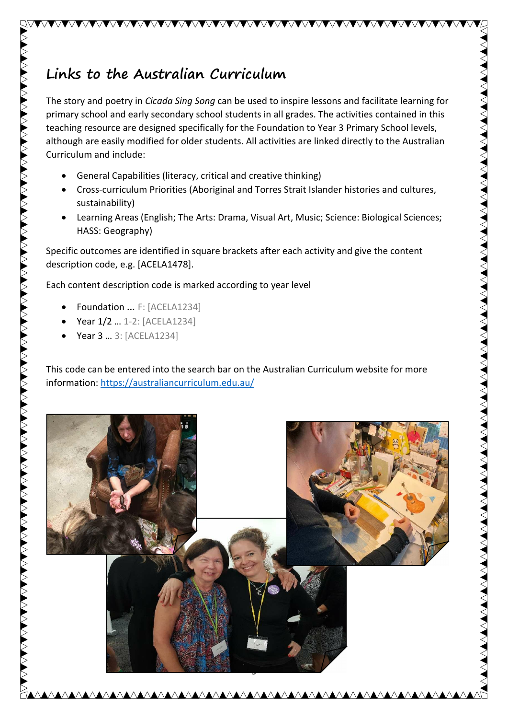# Links to the Australian Curriculum

The story and poetry in Cicada Sing Song can be used to inspire lessons and facilitate learning for primary school and early secondary school students in all grades. The activities contained in this teaching resource are designed specifically for the Foundation to Year 3 Primary School levels, although are easily modified for older students. All activities are linked directly to the Australian Curriculum and include:

VVVVVVVVVVVVVVVVVVVVVVVVVVVVV

- General Capabilities (literacy, critical and creative thinking)
- Cross-curriculum Priorities (Aboriginal and Torres Strait Islander histories and cultures, sustainability)
- Learning Areas (English; The Arts: Drama, Visual Art, Music; Science: Biological Sciences; HASS: Geography)

Specific outcomes are identified in square brackets after each activity and give the content description code, e.g. [ACELA1478].

Each content description code is marked according to year level

- Foundation ... F: [ACELA1234]
- Year 1/2 ... 1-2: [ACELA1234]
- Year 3 ... 3: [ACELA1234]

This code can be entered into the search bar on the Australian Curriculum website for more information: https://australiancurriculum.edu.au/

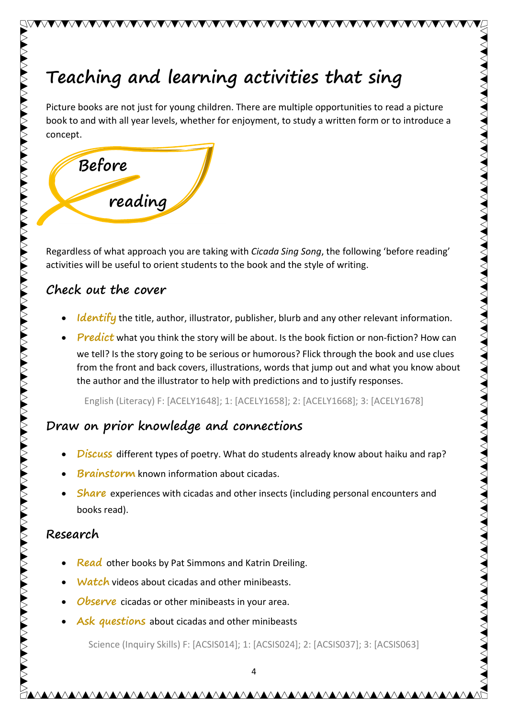# Teaching and learning activities that sing

Picture books are not just for young children. There are multiple opportunities to read a picture book to and with all year levels, whether for enjoyment, to study a written form or to introduce a concept.

**AVVVVVVVVVVVVVVVVVVVVVVVVVVVVV**V



Regardless of what approach you are taking with Cicada Sing Song, the following 'before reading' activities will be useful to orient students to the book and the style of writing.

## Check out the cover

- Identify the title, author, illustrator, publisher, blurb and any other relevant information.
- Predict what you think the story will be about. Is the book fiction or non-fiction? How can we tell? Is the story going to be serious or humorous? Flick through the book and use clues from the front and back covers, illustrations, words that jump out and what you know about the author and the illustrator to help with predictions and to justify responses.

English (Literacy) F: [ACELY1648]; 1: [ACELY1658]; 2: [ACELY1668]; 3: [ACELY1678]

## Draw on prior knowledge and connections

- Discuss different types of poetry. What do students already know about haiku and rap?
- **Brainstorm** known information about cicadas.
- ∑ Share experiences with cicadas and other insects (including personal encounters and books read).

## Research

N VAR DE STANDEN VERSTEN DE STANDEN VERSTEN VERSTEN VERSTEN VERSTEN DE STANDEN VERSTEN VERSTEN VERSTEN VERSTEN VERSTEN VERSTEN VERSTEN VERSTEN VERSTEN VERSTEN VERSTEN VERSTEN VERSTEN VERSTEN VERSTEN VERSTEN VERSTEN VERSTEN

- Read other books by Pat Simmons and Katrin Dreiling.
- Watch videos about cicadas and other minibeasts.
- **Observe** cicadas or other minibeasts in your area.
- Ask questions about cicadas and other minibeasts

Science (Inquiry Skills) F: [ACSIS014]; 1: [ACSIS024]; 2: [ACSIS037]; 3: [ACSIS063]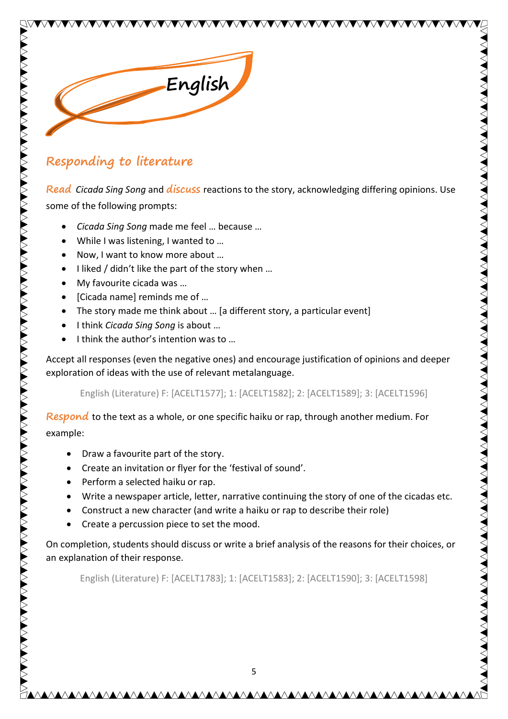

## Responding to literature

Read Cicada Sing Song and discuss reactions to the story, acknowledging differing opinions. Use some of the following prompts:

VVVVVVVVVVVVVVVVVVV

- ∑ Cicada Sing Song made me feel … because …
- While I was listening, I wanted to ...
- Now, I want to know more about ...
- I liked / didn't like the part of the story when ...
- My favourite cicada was ...
- [Cicada name] reminds me of ...
- The story made me think about ... [a different story, a particular event]
- I think Cicada Sing Song is about ...
- I think the author's intention was to ...

Accept all responses (even the negative ones) and encourage justification of opinions and deeper exploration of ideas with the use of relevant metalanguage.

English (Literature) F: [ACELT1577]; 1: [ACELT1582]; 2: [ACELT1589]; 3: [ACELT1596]

Respond to the text as a whole, or one specific haiku or rap, through another medium. For

example:

- Draw a favourite part of the story.
- Create an invitation or flyer for the 'festival of sound'.
- ∑ Perform a selected haiku or rap.
- Write a newspaper article, letter, narrative continuing the story of one of the cicadas etc.
- ∑ Construct a new character (and write a haiku or rap to describe their role)
- Create a percussion piece to set the mood.

On completion, students should discuss or write a brief analysis of the reasons for their choices, or an explanation of their response.

English (Literature) F: [ACELT1783]; 1: [ACELT1583]; 2: [ACELT1590]; 3: [ACELT1598]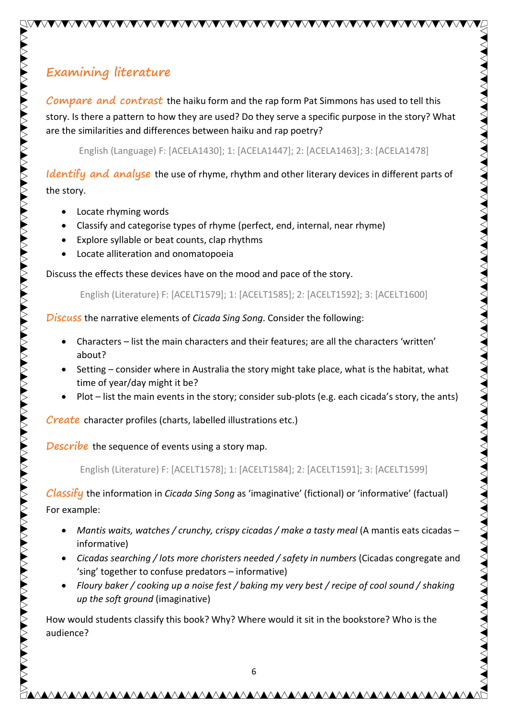## Examining literature

Compare and contrast the haiku form and the rap form Pat Simmons has used to tell this story. Is there a pattern to how they are used? Do they serve a specific purpose in the story? What are the similarities and differences between haiku and rap poetry?

VVVVVVVVVVVVVVVVVVVVVVVVVVVVVVVVV

English (Language) F: [ACELA1430]; 1: [ACELA1447]; 2: [ACELA1463]; 3: [ACELA1478]

Identify and analyse the use of rhyme, rhythm and other literary devices in different parts of the story.

● Locate rhyming words

- Classify and categorise types of rhyme (perfect, end, internal, near rhyme)
- Explore syllable or beat counts, clap rhythms
- Locate alliteration and onomatopoeia

Discuss the effects these devices have on the mood and pace of the story.

English (Literature) F: [ACELT1579]; 1: [ACELT1585]; 2: [ACELT1592]; 3: [ACELT1600]

Discuss the narrative elements of Cicada Sing Song. Consider the following:

- ∑ Characters list the main characters and their features; are all the characters 'written' about?
- Setting consider where in Australia the story might take place, what is the habitat, what time of year/day might it be?
- Plot list the main events in the story; consider sub-plots (e.g. each cicada's story, the ants)

Create character profiles (charts, labelled illustrations etc.)

**Describe** the sequence of events using a story map.

English (Literature) F: [ACELT1578]; 1: [ACELT1584]; 2: [ACELT1591]; 3: [ACELT1599]

Classify the information in Cicada Sing Song as 'imaginative' (fictional) or 'informative' (factual) For example:

- Mantis waits, watches / crunchy, crispy cicadas / make a tasty meal (A mantis eats cicadas informative)
- Cicadas searching / lots more choristers needed / safety in numbers (Cicadas congregate and 'sing' together to confuse predators – informative)
- ∑ Floury baker / cooking up a noise fest / baking my very best / recipe of cool sound / shaking up the soft ground (imaginative)

How would students classify this book? Why? Where would it sit in the bookstore? Who is the audience?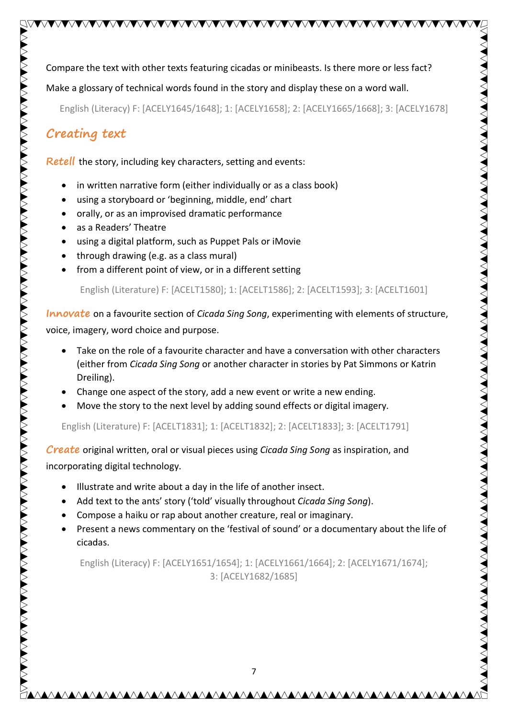Compare the text with other texts featuring cicadas or minibeasts. Is there more or less fact?

Make a glossary of technical words found in the story and display these on a word wall.

English (Literacy) F: [ACELY1645/1648]; 1: [ACELY1658]; 2: [ACELY1665/1668]; 3: [ACELY1678]

## Creating text

Retell the story, including key characters, setting and events:

- in written narrative form (either individually or as a class book)
- ∑ using a storyboard or 'beginning, middle, end' chart
- orally, or as an improvised dramatic performance
- as a Readers' Theatre
- ∑ using a digital platform, such as Puppet Pals or iMovie
- through drawing (e.g. as a class mural)
- from a different point of view, or in a different setting

English (Literature) F: [ACELT1580]; 1: [ACELT1586]; 2: [ACELT1593]; 3: [ACELT1601]

Innovate on a favourite section of *Cicada Sing Song*, experimenting with elements of structure, voice, imagery, word choice and purpose.

■ Take on the role of a favourite character and have a conversation with other characters (either from Cicada Sing Song or another character in stories by Pat Simmons or Katrin Dreiling).

<u> MAANA MAANA MAANA MAANA MAANA MAANA MAANA MAANA MAANA MAANA MAANA MAANA MAANA MAANA MAANA MA</u>

- Change one aspect of the story, add a new event or write a new ending.
- Move the story to the next level by adding sound effects or digital imagery.

English (Literature) F: [ACELT1831]; 1: [ACELT1832]; 2: [ACELT1833]; 3: [ACELT1791]

Create original written, oral or visual pieces using Cicada Sing Song as inspiration, and incorporating digital technology.

- Illustrate and write about a day in the life of another insect.
- Add text to the ants' story ('told' visually throughout Cicada Sing Song).
- Compose a haiku or rap about another creature, real or imaginary.
- Present a news commentary on the 'festival of sound' or a documentary about the life of cicadas.

English (Literacy) F: [ACELY1651/1654]; 1: [ACELY1661/1664]; 2: [ACELY1671/1674]; 3: [ACELY1682/1685]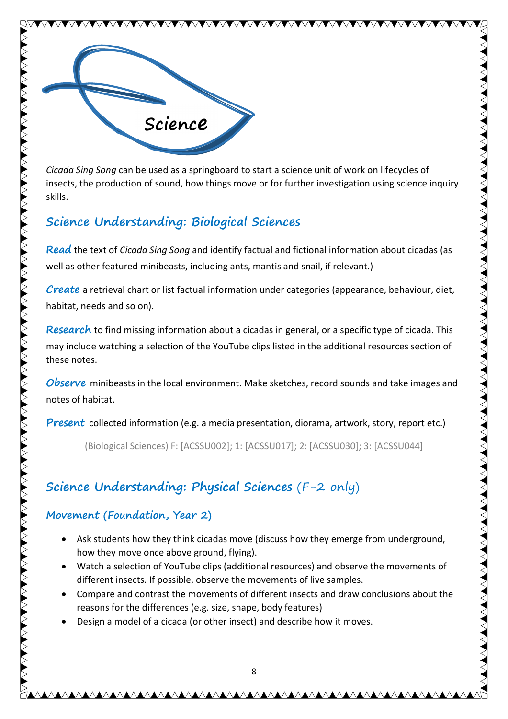

>>>>>>>>>>>>>

Cicada Sing Song can be used as a springboard to start a science unit of work on lifecycles of insects, the production of sound, how things move or for further investigation using science inquiry skills.

## Science Understanding: Biological Sciences

Read the text of Cicada Sing Song and identify factual and fictional information about cicadas (as well as other featured minibeasts, including ants, mantis and snail, if relevant.)

Create a retrieval chart or list factual information under categories (appearance, behaviour, diet, habitat, needs and so on).

Research to find missing information about a cicadas in general, or a specific type of cicada. This may include watching a selection of the YouTube clips listed in the additional resources section of these notes.

**Observe** minibeasts in the local environment. Make sketches, record sounds and take images and notes of habitat.

**Present** collected information (e.g. a media presentation, diorama, artwork, story, report etc.)

(Biological Sciences) F: [ACSSU002]; 1: [ACSSU017]; 2: [ACSSU030]; 3: [ACSSU044]

## Science Understanding: Physical Sciences (F-2 only)

## Movement (Foundation, Year 2)

- Ask students how they think cicadas move (discuss how they emerge from underground, how they move once above ground, flying).
- Watch a selection of YouTube clips (additional resources) and observe the movements of different insects. If possible, observe the movements of live samples.
- ∑ Compare and contrast the movements of different insects and draw conclusions about the reasons for the differences (e.g. size, shape, body features)
- Design a model of a cicada (or other insect) and describe how it moves.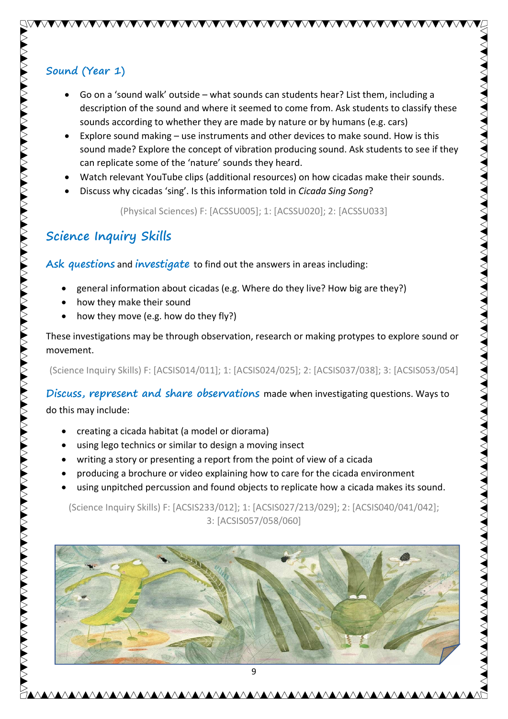## Sound (Year 1)

● Go on a 'sound walk' outside – what sounds can students hear? List them, including a description of the sound and where it seemed to come from. Ask students to classify these sounds according to whether they are made by nature or by humans (e.g. cars)

VVVVVVVVVVVVVVVVVVVVVVVVVVVVVVVV

- Explore sound making use instruments and other devices to make sound. How is this sound made? Explore the concept of vibration producing sound. Ask students to see if they can replicate some of the 'nature' sounds they heard.
- ∑ Watch relevant YouTube clips (additional resources) on how cicadas make their sounds.
- ∑ Discuss why cicadas 'sing'. Is this information told in Cicada Sing Song?

(Physical Sciences) F: [ACSSU005]; 1: [ACSSU020]; 2: [ACSSU033]

## Science Inquiry Skills

Ask questions and *investigate* to find out the answers in areas including:

- ∑ general information about cicadas (e.g. Where do they live? How big are they?)
- how they make their sound
- how they move (e.g. how do they fly?)

These investigations may be through observation, research or making protypes to explore sound or movement.

(Science Inquiry Skills) F: [ACSIS014/011]; 1: [ACSIS024/025]; 2: [ACSIS037/038]; 3: [ACSIS053/054]

Discuss, represent and share observations made when investigating questions. Ways to

do this may include:

- creating a cicada habitat (a model or diorama)
- ∑ using lego technics or similar to design a moving insect
- writing a story or presenting a report from the point of view of a cicada
- ∑ producing a brochure or video explaining how to care for the cicada environment
- using unpitched percussion and found objects to replicate how a cicada makes its sound.

(Science Inquiry Skills) F: [ACSIS233/012]; 1: [ACSIS027/213/029]; 2: [ACSIS040/041/042]; 3: [ACSIS057/058/060]

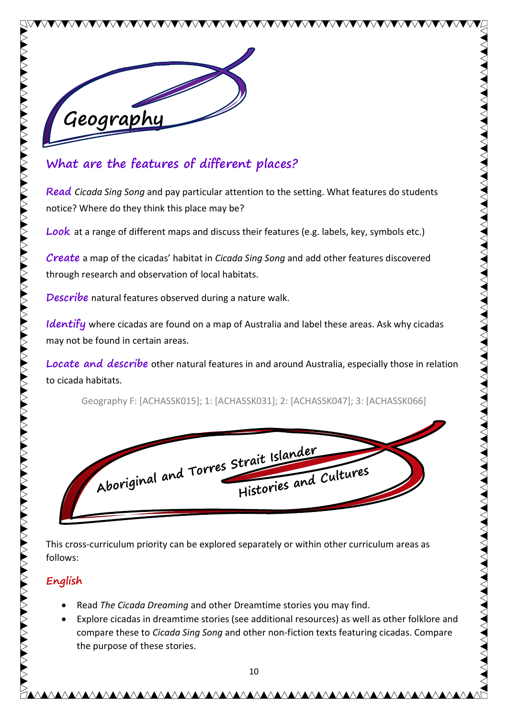

## What are the features of different places?

Read Cicada Sing Song and pay particular attention to the setting. What features do students notice? Where do they think this place may be?

**AVAVVANVVANVVANV** 

**Look** at a range of different maps and discuss their features (e.g. labels, key, symbols etc.)

Create a map of the cicadas' habitat in Cicada Sing Song and add other features discovered through research and observation of local habitats.

**Describe** natural features observed during a nature walk.

Identify where cicadas are found on a map of Australia and label these areas. Ask why cicadas may not be found in certain areas.

Locate and describe other natural features in and around Australia, especially those in relation to cicada habitats.

Geography F: [ACHASSK015]; 1: [ACHASSK031]; 2: [ACHASSK047]; 3: [ACHASSK066]



This cross-curriculum priority can be explored separately or within other curriculum areas as follows:

#### English

- Read The Cicada Dreaming and other Dreamtime stories you may find.
- Explore cicadas in dreamtime stories (see additional resources) as well as other folklore and compare these to Cicada Sing Song and other non-fiction texts featuring cicadas. Compare the purpose of these stories.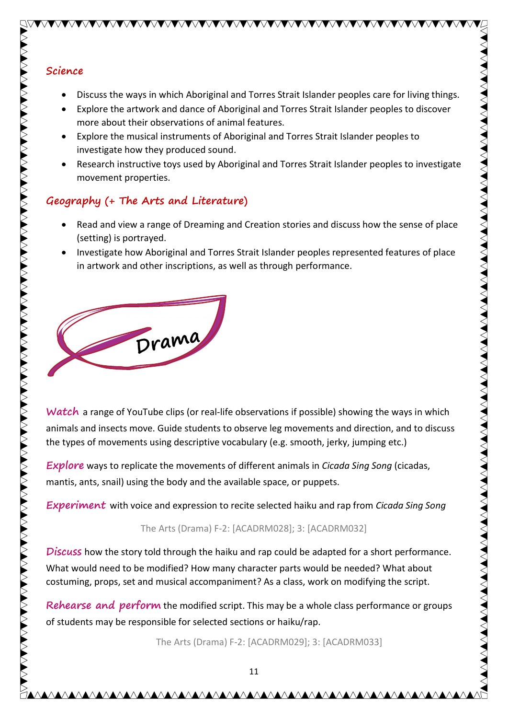#### Science

● Discuss the ways in which Aboriginal and Torres Strait Islander peoples care for living things.

VVVVVVVVVVVVVVVVVVVVVVVVVVVVVV

- Explore the artwork and dance of Aboriginal and Torres Strait Islander peoples to discover more about their observations of animal features.
- Explore the musical instruments of Aboriginal and Torres Strait Islander peoples to investigate how they produced sound.
- Research instructive toys used by Aboriginal and Torres Strait Islander peoples to investigate movement properties.

#### Geography (+ The Arts and Literature)

- Read and view a range of Dreaming and Creation stories and discuss how the sense of place (setting) is portrayed.
- Investigate how Aboriginal and Torres Strait Islander peoples represented features of place in artwork and other inscriptions, as well as through performance.



Watch a range of YouTube clips (or real-life observations if possible) showing the ways in which animals and insects move. Guide students to observe leg movements and direction, and to discuss the types of movements using descriptive vocabulary (e.g. smooth, jerky, jumping etc.)

**Explore** ways to replicate the movements of different animals in *Cicada Sing Song* (cicadas, mantis, ants, snail) using the body and the available space, or puppets.

**Experiment** with voice and expression to recite selected haiku and rap from Cicada Sing Song

#### The Arts (Drama) F-2: [ACADRM028]; 3: [ACADRM032]

**Discuss** how the story told through the haiku and rap could be adapted for a short performance. What would need to be modified? How many character parts would be needed? What about costuming, props, set and musical accompaniment? As a class, work on modifying the script.

Rehearse and perform the modified script. This may be a whole class performance or groups of students may be responsible for selected sections or haiku/rap.

The Arts (Drama) F-2: [ACADRM029]; 3: [ACADRM033]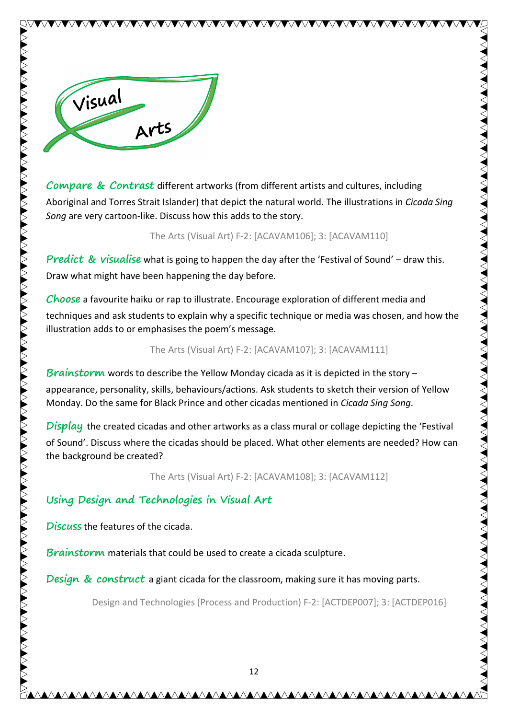

Compare & Contrast different artworks (from different artists and cultures, including Aboriginal and Torres Strait Islander) that depict the natural world. The illustrations in Cicada Sing Song are very cartoon-like. Discuss how this adds to the story.

**AVANTAVIA VANTAVIA** 

#### The Arts (Visual Art) F-2: [ACAVAM106]; 3: [ACAVAM110]

**Predict & visualise** what is going to happen the day after the 'Festival of Sound' – draw this. Draw what might have been happening the day before.

Choose a favourite haiku or rap to illustrate. Encourage exploration of different media and techniques and ask students to explain why a specific technique or media was chosen, and how the illustration adds to or emphasises the poem's message.

The Arts (Visual Art) F-2: [ACAVAM107]; 3: [ACAVAM111]

Brainstorm words to describe the Yellow Monday cicada as it is depicted in the story – appearance, personality, skills, behaviours/actions. Ask students to sketch their version of Yellow Monday. Do the same for Black Prince and other cicadas mentioned in Cicada Sing Song.

Display the created cicadas and other artworks as a class mural or collage depicting the 'Festival of Sound'. Discuss where the cicadas should be placed. What other elements are needed? How can the background be created?

The Arts (Visual Art) F-2: [ACAVAM108]; 3: [ACAVAM112]

## Using Design and Technologies in Visual Art

Discuss the features of the cicada.

Brainstorm materials that could be used to create a cicada sculpture.

**Design & construct** a giant cicada for the classroom, making sure it has moving parts.

Design and Technologies (Process and Production) F-2: [ACTDEP007]; 3: [ACTDEP016]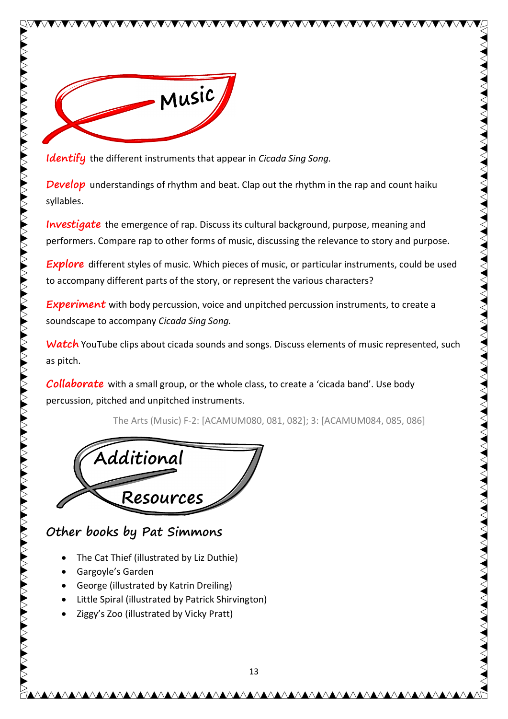

Identify the different instruments that appear in Cicada Sing Song.

VVVVVVVV

**Develop** understandings of rhythm and beat. Clap out the rhythm in the rap and count haiku syllables.

**Investigate** the emergence of rap. Discuss its cultural background, purpose, meaning and performers. Compare rap to other forms of music, discussing the relevance to story and purpose.

**Explore** different styles of music. Which pieces of music, or particular instruments, could be used to accompany different parts of the story, or represent the various characters?

**Experiment** with body percussion, voice and unpitched percussion instruments, to create a soundscape to accompany Cicada Sing Song.

Watch YouTube clips about cicada sounds and songs. Discuss elements of music represented, such as pitch.

**Collaborate** with a small group, or the whole class, to create a 'cicada band'. Use body percussion, pitched and unpitched instruments.

The Arts (Music) F-2: [ACAMUM080, 081, 082]; 3: [ACAMUM084, 085, 086]



## Other books by Pat Simmons

- The Cat Thief (illustrated by Liz Duthie)
- Gargoyle's Garden
- George (illustrated by Katrin Dreiling)
- Little Spiral (illustrated by Patrick Shirvington)
- Ziggy's Zoo (illustrated by Vicky Pratt)